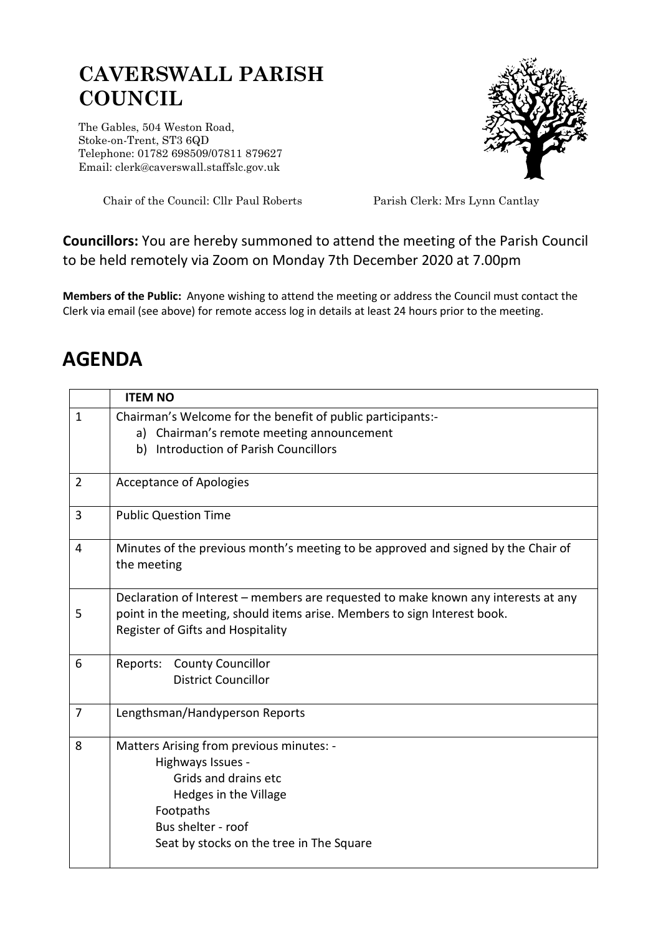## **CAVERSWALL PARISH COUNCIL**

The Gables, 504 Weston Road, Stoke-on-Trent, ST3 6QD Telephone: 01782 698509/07811 879627 Email: clerk@caverswall.staffslc.gov.uk



Chair of the Council: Cllr Paul Roberts Parish Clerk: Mrs Lynn Cantlay

## **Councillors:** You are hereby summoned to attend the meeting of the Parish Council to be held remotely via Zoom on Monday 7th December 2020 at 7.00pm

**Members of the Public:** Anyone wishing to attend the meeting or address the Council must contact the Clerk via email (see above) for remote access log in details at least 24 hours prior to the meeting.

## **AGENDA**

|                | <b>ITEM NO</b>                                                                                                                                                                                      |
|----------------|-----------------------------------------------------------------------------------------------------------------------------------------------------------------------------------------------------|
| $\mathbf{1}$   | Chairman's Welcome for the benefit of public participants:-<br>a) Chairman's remote meeting announcement<br>b) Introduction of Parish Councillors                                                   |
| $\overline{2}$ | <b>Acceptance of Apologies</b>                                                                                                                                                                      |
| 3              | <b>Public Question Time</b>                                                                                                                                                                         |
| 4              | Minutes of the previous month's meeting to be approved and signed by the Chair of<br>the meeting                                                                                                    |
| 5              | Declaration of Interest – members are requested to make known any interests at any<br>point in the meeting, should items arise. Members to sign Interest book.<br>Register of Gifts and Hospitality |
| 6              | Reports: County Councillor<br><b>District Councillor</b>                                                                                                                                            |
| $\overline{7}$ | Lengthsman/Handyperson Reports                                                                                                                                                                      |
| 8              | Matters Arising from previous minutes: -<br>Highways Issues -<br>Grids and drains etc<br>Hedges in the Village<br>Footpaths<br>Bus shelter - roof<br>Seat by stocks on the tree in The Square       |